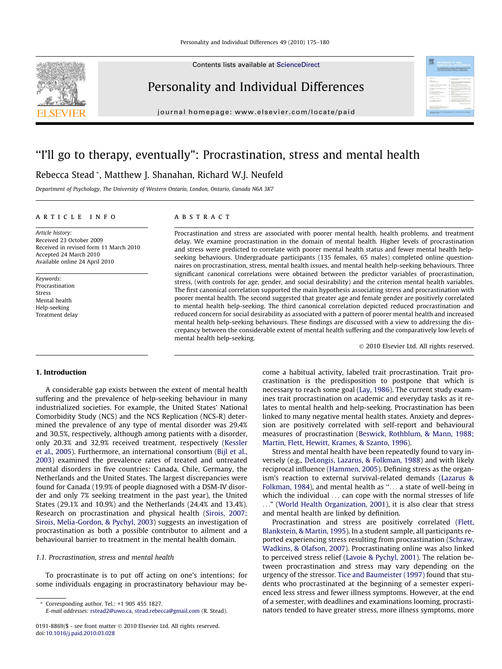



# Personality and Individual Differences

journal homepage: [www.elsevier.com/locate/paid](http://www.elsevier.com/locate/paid)

# **CONTRACTOR**

# ''I'll go to therapy, eventually": Procrastination, stress and mental health Rebecca Stead \*, Matthew J. Shanahan, Richard W.J. Neufeld

Department of Psychology, The University of Western Ontario, London, Ontario, Canada N6A 3K7

# article info

Article history: Received 23 October 2009 Received in revised form 11 March 2010 Accepted 24 March 2010 Available online 24 April 2010

Keywords: Procrastination Stress Mental health Help-seeking Treatment delay

# **ABSTRACT**

Procrastination and stress are associated with poorer mental health, health problems, and treatment delay. We examine procrastination in the domain of mental health. Higher levels of procrastination and stress were predicted to correlate with poorer mental health status and fewer mental health helpseeking behaviours. Undergraduate participants (135 females, 65 males) completed online questionnaires on procrastination, stress, mental health issues, and mental health help-seeking behaviours. Three significant canonical correlations were obtained between the predictor variables of procrastination, stress, (with controls for age, gender, and social desirability) and the criterion mental health variables. The first canonical correlation supported the main hypothesis associating stress and procrastination with poorer mental health. The second suggested that greater age and female gender are positively correlated to mental health help-seeking. The third canonical correlation depicted reduced procrastination and reduced concern for social desirability as associated with a pattern of poorer mental health and increased mental health help-seeking behaviours. These findings are discussed with a view to addressing the discrepancy between the considerable extent of mental health suffering and the comparatively low levels of mental health help-seeking.

- 2010 Elsevier Ltd. All rights reserved.

# 1. Introduction

A considerable gap exists between the extent of mental health suffering and the prevalence of help-seeking behaviour in many industrialized societies. For example, the United States' National Comorbidity Study (NCS) and the NCS Replication (NCS-R) determined the prevalence of any type of mental disorder was 29.4% and 30.5%, respectively, although among patients with a disorder, only 20.3% and 32.9% received treatment, respectively ([Kessler](#page-5-0) [et al., 2005\)](#page-5-0). Furthermore, an international consortium ([Bijl et al.,](#page-5-0) [2003](#page-5-0)) examined the prevalence rates of treated and untreated mental disorders in five countries: Canada, Chile, Germany, the Netherlands and the United States. The largest discrepancies were found for Canada (19.9% of people diagnosed with a DSM-IV disorder and only 7% seeking treatment in the past year), the United States (29.1% and 10.9%) and the Netherlands (24.4% and 13.4%). Research on procrastination and physical health [\(Sirois, 2007;](#page-5-0) [Sirois, Melia-Gordon, & Pychyl, 2003\)](#page-5-0) suggests an investigation of procrastination as both a possible contributor to ailment and a behavioural barrier to treatment in the mental health domain.

# 1.1. Procrastination, stress and mental health

To procrastinate is to put off acting on one's intentions; for some individuals engaging in procrastinatory behaviour may become a habitual activity, labeled trait procrastination. Trait procrastination is the predisposition to postpone that which is necessary to reach some goal [\(Lay, 1986](#page-5-0)). The current study examines trait procrastination on academic and everyday tasks as it relates to mental health and help-seeking. Procrastination has been linked to many negative mental health states. Anxiety and depression are positively correlated with self-report and behavioural measures of procrastination ([Beswick, Rothblum, & Mann, 1988;](#page-5-0) [Martin, Flett, Hewitt, Krames, & Szanto, 1996\)](#page-5-0).

Stress and mental health have been repeatedly found to vary inversely (e.g., [DeLongis, Lazarus, & Folkman, 1988\)](#page-5-0) and with likely reciprocal influence ([Hammen, 2005](#page-5-0)). Defining stress as the organism's reaction to external survival-related demands ([Lazarus &](#page-5-0) [Folkman, 1984\)](#page-5-0), and mental health as "... a state of well-being in which the individual ... can cope with the normal stresses of life ..." [\(World Health Organization, 2001\)](#page-5-0), it is also clear that stress and mental health are linked by definition.

Procrastination and stress are positively correlated ([Flett,](#page-5-0) [Blankstein, & Martin, 1995\)](#page-5-0). In a student sample, all participants reported experiencing stress resulting from procrastination [\(Schraw,](#page-5-0) [Wadkins, & Olafson, 2007\)](#page-5-0). Procrastinating online was also linked to perceived stress relief ([Lavoie & Pychyl, 2001](#page-5-0)). The relation between procrastination and stress may vary depending on the urgency of the stressor. [Tice and Baumeister \(1997\)](#page-5-0) found that students who procrastinated at the beginning of a semester experienced less stress and fewer illness symptoms. However, at the end of a semester, with deadlines and examinations looming, procrastinators tended to have greater stress, more illness symptoms, more

Corresponding author. Tel.: +1 905 455 1827.

E-mail addresses: [rstead2@uwo.ca](mailto:rstead2@uwo.ca), [stead.rebecca@gmail.com](mailto:stead.rebecca@gmail.com) (R. Stead).

<sup>0191-8869/\$ -</sup> see front matter © 2010 Elsevier Ltd. All rights reserved. doi[:10.1016/j.paid.2010.03.028](http://dx.doi.org/10.1016/j.paid.2010.03.028)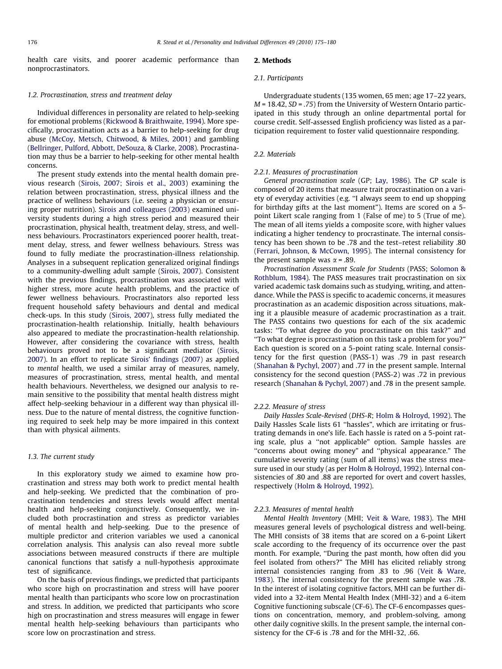health care visits, and poorer academic performance than nonprocrastinators.

# 1.2. Procrastination, stress and treatment delay

Individual differences in personality are related to help-seeking for emotional problems ([Rickwood & Braithwaite, 1994](#page-5-0)). More specifically, procrastination acts as a barrier to help-seeking for drug abuse ([McCoy, Metsch, Chitwood, & Miles, 2001](#page-5-0)) and gambling ([Bellringer, Pulford, Abbott, DeSouza, & Clarke, 2008\)](#page-5-0). Procrastination may thus be a barrier to help-seeking for other mental health concerns.

The present study extends into the mental health domain previous research [\(Sirois, 2007; Sirois et al., 2003](#page-5-0)) examining the relation between procrastination, stress, physical illness and the practice of wellness behaviours (i.e. seeing a physician or ensuring proper nutrition). [Sirois and colleagues \(2003\)](#page-5-0) examined university students during a high stress period and measured their procrastination, physical health, treatment delay, stress, and wellness behaviours. Procrastinators experienced poorer health, treatment delay, stress, and fewer wellness behaviours. Stress was found to fully mediate the procrastination-illness relationship. Analyses in a subsequent replication generalized original findings to a community-dwelling adult sample ([Sirois, 2007\)](#page-5-0). Consistent with the previous findings, procrastination was associated with higher stress, more acute health problems, and the practice of fewer wellness behaviours. Procrastinators also reported less frequent household safety behaviours and dental and medical check-ups. In this study ([Sirois, 2007](#page-5-0)), stress fully mediated the procrastination-health relationship. Initially, health behaviours also appeared to mediate the procrastination-health relationship. However, after considering the covariance with stress, health behaviours proved not to be a significant mediator [\(Sirois,](#page-5-0) [2007\)](#page-5-0). In an effort to replicate [Sirois' findings \(2007\)](#page-5-0) as applied to mental health, we used a similar array of measures, namely, measures of procrastination, stress, mental health, and mental health behaviours. Nevertheless, we designed our analysis to remain sensitive to the possibility that mental health distress might affect help-seeking behaviour in a different way than physical illness. Due to the nature of mental distress, the cognitive functioning required to seek help may be more impaired in this context than with physical ailments.

# 1.3. The current study

In this exploratory study we aimed to examine how procrastination and stress may both work to predict mental health and help-seeking. We predicted that the combination of procrastination tendencies and stress levels would affect mental health and help-seeking conjunctively. Consequently, we included both procrastination and stress as predictor variables of mental health and help-seeking. Due to the presence of multiple predictor and criterion variables we used a canonical correlation analysis. This analysis can also reveal more subtle associations between measured constructs if there are multiple canonical functions that satisfy a null-hypothesis approximate test of significance.

On the basis of previous findings, we predicted that participants who score high on procrastination and stress will have poorer mental health than participants who score low on procrastination and stress. In addition, we predicted that participants who score high on procrastination and stress measures will engage in fewer mental health help-seeking behaviours than participants who score low on procrastination and stress.

# 2. Methods

# 2.1. Participants

Undergraduate students (135 women, 65 men; age 17–22 years,  $M = 18.42$ ,  $SD = .75$ ) from the University of Western Ontario participated in this study through an online departmental portal for course credit. Self-assessed English proficiency was listed as a participation requirement to foster valid questionnaire responding.

#### 2.2. Materials

#### 2.2.1. Measures of procrastination

General procrastination scale (GP; [Lay, 1986](#page-5-0)). The GP scale is composed of 20 items that measure trait procrastination on a variety of everyday activities (e.g. ''I always seem to end up shopping for birthday gifts at the last moment"). Items are scored on a 5 point Likert scale ranging from 1 (False of me) to 5 (True of me). The mean of all items yields a composite score, with higher values indicating a higher tendency to procrastinate. The internal consistency has been shown to be .78 and the test–retest reliability .80 ([Ferrari, Johnson, & McCown, 1995\)](#page-5-0). The internal consistency for the present sample was  $\alpha$  = .89.

Procrastination Assessment Scale for Students (PASS; [Solomon &](#page-5-0) [Rothblum, 1984](#page-5-0)). The PASS measures trait procrastination on six varied academic task domains such as studying, writing, and attendance. While the PASS is specific to academic concerns, it measures procrastination as an academic disposition across situations, making it a plausible measure of academic procrastination as a trait. The PASS contains two questions for each of the six academic tasks: ''To what degree do you procrastinate on this task?" and ''To what degree is procrastination on this task a problem for you?" Each question is scored on a 5-point rating scale. Internal consistency for the first question (PASS-1) was .79 in past research ([Shanahan & Pychyl, 2007](#page-5-0)) and .77 in the present sample. Internal consistency for the second question (PASS-2) was .72 in previous research ([Shanahan & Pychyl, 2007\)](#page-5-0) and .78 in the present sample.

#### 2.2.2. Measure of stress

Daily Hassles Scale-Revised (DHS-R; [Holm & Holroyd, 1992\)](#page-5-0). The Daily Hassles Scale lists 61 ''hassles", which are irritating or frustrating demands in one's life. Each hassle is rated on a 5-point rating scale, plus a ''not applicable" option. Sample hassles are "concerns about owing money" and "physical appearance." The cumulative severity rating (sum of all items) was the stress measure used in our study (as per [Holm & Holroyd, 1992](#page-5-0)). Internal consistencies of .80 and .88 are reported for overt and covert hassles, respectively ([Holm & Holroyd, 1992\)](#page-5-0).

#### 2.2.3. Measures of mental health

Mental Health Inventory (MHI; [Veit & Ware, 1983\)](#page-5-0). The MHI measures general levels of psychological distress and well-being. The MHI consists of 38 items that are scored on a 6-point Likert scale according to the frequency of its occurrence over the past month. For example, ''During the past month, how often did you feel isolated from others?" The MHI has elicited reliably strong internal consistencies ranging from .83 to .96 [\(Veit & Ware,](#page-5-0) [1983\)](#page-5-0). The internal consistency for the present sample was .78. In the interest of isolating cognitive factors, MHI can be further divided into a 32-item Mental Health Index (MHI-32) and a 6-item Cognitive functioning subscale (CF-6). The CF-6 encompasses questions on concentration, memory, and problem-solving, among other daily cognitive skills. In the present sample, the internal consistency for the CF-6 is .78 and for the MHI-32, .66.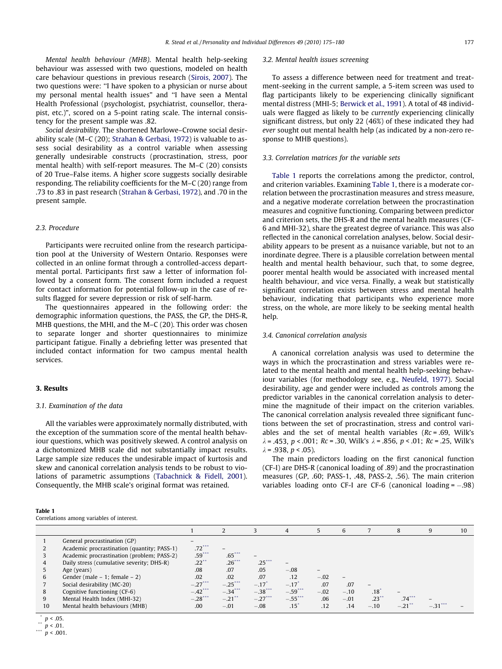<span id="page-2-0"></span>Mental health behaviour (MHB). Mental health help-seeking behaviour was assessed with two questions, modeled on health care behaviour questions in previous research ([Sirois, 2007\)](#page-5-0). The two questions were: ''I have spoken to a physician or nurse about my personal mental health issues" and ''I have seen a Mental Health Professional (psychologist, psychiatrist, counsellor, therapist, etc.)", scored on a 5-point rating scale. The internal consistency for the present sample was .82.

Social desirability. The shortened Marlowe–Crowne social desirability scale (M–C (20); [Strahan & Gerbasi, 1972](#page-5-0)) is valuable to assess social desirability as a control variable when assessing generally undesirable constructs (procrastination, stress, poor mental health) with self-report measures. The M–C (20) consists of 20 True–False items. A higher score suggests socially desirable responding. The reliability coefficients for the M–C (20) range from .73 to .83 in past research [\(Strahan & Gerbasi, 1972\)](#page-5-0), and .70 in the present sample.

# 2.3. Procedure

Participants were recruited online from the research participation pool at the University of Western Ontario. Responses were collected in an online format through a controlled-access departmental portal. Participants first saw a letter of information followed by a consent form. The consent form included a request for contact information for potential follow-up in the case of results flagged for severe depression or risk of self-harm.

The questionnaires appeared in the following order: the demographic information questions, the PASS, the GP, the DHS-R, MHB questions, the MHI, and the M–C (20). This order was chosen to separate longer and shorter questionnaires to minimize participant fatigue. Finally a debriefing letter was presented that included contact information for two campus mental health services.

# 3. Results

#### 3.1. Examination of the data

All the variables were approximately normally distributed, with the exception of the summation score of the mental health behaviour questions, which was positively skewed. A control analysis on a dichotomized MHB scale did not substantially impact results. Large sample size reduces the undesirable impact of kurtosis and skew and canonical correlation analysis tends to be robust to violations of parametric assumptions [\(Tabachnick & Fidell, 2001\)](#page-5-0). Consequently, the MHB scale's original format was retained.

| Table 1                                   |  |  |
|-------------------------------------------|--|--|
| Correlations among variables of interest. |  |  |

# 3.2. Mental health issues screening

To assess a difference between need for treatment and treatment-seeking in the current sample, a 5-item screen was used to flag participants likely to be experiencing clinically significant mental distress (MHI-5; [Berwick et al., 1991\)](#page-5-0). A total of 48 individuals were flagged as likely to be currently experiencing clinically significant distress, but only 22 (46%) of these indicated they had ever sought out mental health help (as indicated by a non-zero response to MHB questions).

# 3.3. Correlation matrices for the variable sets

Table 1 reports the correlations among the predictor, control, and criterion variables. Examining Table 1, there is a moderate correlation between the procrastination measures and stress measure, and a negative moderate correlation between the procrastination measures and cognitive functioning. Comparing between predictor and criterion sets, the DHS-R and the mental health measures (CF-6 and MHI-32), share the greatest degree of variance. This was also reflected in the canonical correlation analyses, below. Social desirability appears to be present as a nuisance variable, but not to an inordinate degree. There is a plausible correlation between mental health and mental health behaviour, such that, to some degree, poorer mental health would be associated with increased mental health behaviour, and vice versa. Finally, a weak but statistically significant correlation exists between stress and mental health behaviour, indicating that participants who experience more stress, on the whole, are more likely to be seeking mental health help.

# 3.4. Canonical correlation analysis

A canonical correlation analysis was used to determine the ways in which the procrastination and stress variables were related to the mental health and mental health help-seeking behaviour variables (for methodology see, e.g., [Neufeld, 1977\)](#page-5-0). Social desirability, age and gender were included as controls among the predictor variables in the canonical correlation analysis to determine the magnitude of their impact on the criterion variables. The canonical correlation analysis revealed three significant functions between the set of procrastination, stress and control variables and the set of mental health variables ( $Rc = .69$ , Wilk's  $\lambda = .453$ ,  $p < .001$ ;  $Rc = .30$ , Wilk's  $\lambda = .856$ ,  $p < .01$ ;  $Rc = .25$ , Wilk's  $\lambda = .938, p < .05$ ).

The main predictors loading on the first canonical function (CF-I) are DHS-R (canonical loading of .89) and the procrastination measures (GP, .60; PASS-1, .48, PASS-2, .56). The main criterion variables loading onto CF-I are CF-6 (canonical loading = -.98)

|    |                                             |            |            |            | $\overline{4}$  |        | 6                        |        | 8        | 9      | 10 <sup>1</sup> |
|----|---------------------------------------------|------------|------------|------------|-----------------|--------|--------------------------|--------|----------|--------|-----------------|
|    | General procrastination (GP)                |            |            |            |                 |        |                          |        |          |        |                 |
|    | Academic procrastination (quantity; PASS-1) | $.72***$   |            |            |                 |        |                          |        |          |        |                 |
|    | Academic procrastination (problem; PASS-2)  | $.59***$   | $.65***$   |            |                 |        |                          |        |          |        |                 |
|    | Daily stress (cumulative severity; DHS-R)   | $.22***$   | $.26***$   | $.25***$   |                 |        |                          |        |          |        |                 |
|    | Age (years)                                 | .08        | .07        | .05        | $-.08$          |        |                          |        |          |        |                 |
| 6  | Gender (male $-1$ ; female $-2$ )           | .02        | .02        | .07        | .12             | $-.02$ | $\overline{\phantom{m}}$ |        |          |        |                 |
|    | Social desirability (MC-20)                 | $-.27$ *** | $-.25$ *** | $-.17$     | $-.17$          | .07    | .07                      |        |          |        |                 |
| 8  | Cognitive functioning (CF-6)                | $-.42$     | $-.34***$  | $-.38$ *** | $-.59$ ***      | $-.02$ | $-.10$                   | .18    |          |        |                 |
| 9  | Mental Health Index (MHI-32)                | $-.28$ *** | $-.21$ **  | $-.27$ *** | $-.55$ ***      | .06    | $-.01$                   | .23    | $.74***$ |        |                 |
| 10 | Mental health behaviours (MHB)              | .00        | $-.01$     | $-.08$     | $.15^{\degree}$ | .12    | .14                      | $-.10$ | $-.21$   | $-.31$ |                 |

 $p < .05$ .

 $n < .01$ 

 $p < .001$ .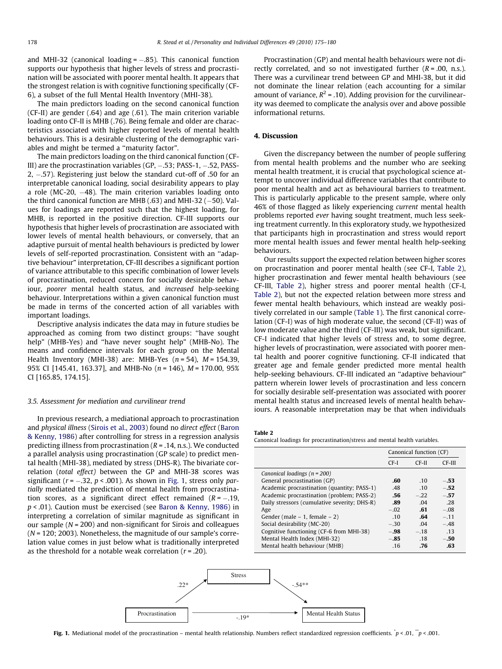and MHI-32 (canonical loading=—.85). This canonical function supports our hypothesis that higher levels of stress and procrastination will be associated with poorer mental health. It appears that the strongest relation is with cognitive functioning specifically (CF-6), a subset of the full Mental Health Inventory (MHI-38).

The main predictors loading on the second canonical function (CF-II) are gender (.64) and age (.61). The main criterion variable loading onto CF-II is MHB (.76). Being female and older are characteristics associated with higher reported levels of mental health behaviours. This is a desirable clustering of the demographic variables and might be termed a ''maturity factor".

The main predictors loading on the third canonical function (CF-III) are the procrastination variables (GP, –.53; PASS-1, –.52, PASS-2, -.57). Registering just below the standard cut-off of .50 for an interpretable canonical loading, social desirability appears to play a role (MC-20, -48). The main criterion variables loading onto the third canonical function are MHB (.63) and MHI-32 (–50). Values for loadings are reported such that the highest loading, for MHB, is reported in the positive direction. CF-III supports our hypothesis that higher levels of procrastination are associated with lower levels of mental health behaviours, or conversely, that an adaptive pursuit of mental health behaviours is predicted by lower levels of self-reported procrastination. Consistent with an ''adaptive behaviour" interpretation, CF-III describes a significant portion of variance attributable to this specific combination of lower levels of procrastination, reduced concern for socially desirable behaviour, poorer mental health status, and increased help-seeking behaviour. Interpretations within a given canonical function must be made in terms of the concerted action of all variables with important loadings.

Descriptive analysis indicates the data may in future studies be approached as coming from two distinct groups: ''have sought help" (MHB-Yes) and ''have never sought help" (MHB-No). The means and confidence intervals for each group on the Mental Health Inventory (MHI-38) are: MHB-Yes  $(n = 54)$ ,  $M = 154.39$ , 95% CI [145.41, 163.37], and MHB-No  $(n = 146)$ ,  $M = 170.00$ , 95% CI [165.85, 174.15].

#### 3.5. Assessment for mediation and curvilinear trend

In previous research, a mediational approach to procrastination and physical illness [\(Sirois et al., 2003\)](#page-5-0) found no direct effect ([Baron](#page-5-0) [& Kenny, 1986](#page-5-0)) after controlling for stress in a regression analysis predicting illness from procrastination ( $R = .14$ , n.s.). We conducted a parallel analysis using procrastination (GP scale) to predict mental health (MHI-38), mediated by stress (DHS-R). The bivariate correlation (total effect) between the GP and MHI-38 scores was significant ( $r = -.32$ ,  $p < .001$ ). As shown in Fig. 1, stress only partially mediated the prediction of mental health from procrastination scores, as a significant direct effect remained  $(R = -.19,$ p < .01). Caution must be exercised (see [Baron & Kenny, 1986](#page-5-0)) in interpreting a correlation of similar magnitude as significant in our sample  $(N = 200)$  and non-significant for Sirois and colleagues  $(N = 120; 2003)$ . Nonetheless, the magnitude of our sample's correlation value comes in just below what is traditionally interpreted as the threshold for a notable weak correlation ( $r = .20$ ).

Procrastination (GP) and mental health behaviours were not directly correlated, and so not investigated further  $(R = .00, n.s.).$ There was a curvilinear trend between GP and MHI-38, but it did not dominate the linear relation (each accounting for a similar amount of variance,  $R^2$  = .10). Adding provision for the curvilinearity was deemed to complicate the analysis over and above possible informational returns.

# 4. Discussion

Given the discrepancy between the number of people suffering from mental health problems and the number who are seeking mental health treatment, it is crucial that psychological science attempt to uncover individual difference variables that contribute to poor mental health and act as behavioural barriers to treatment. This is particularly applicable to the present sample, where only 46% of those flagged as likely experiencing current mental health problems reported ever having sought treatment, much less seeking treatment currently. In this exploratory study, we hypothesized that participants high in procrastination and stress would report more mental health issues and fewer mental health help-seeking behaviours.

Our results support the expected relation between higher scores on procrastination and poorer mental health (see CF-I, Table 2), higher procrastination and fewer mental health behaviours (see CF-III, Table 2), higher stress and poorer mental health (CF-I, Table 2), but not the expected relation between more stress and fewer mental health behaviours, which instead are weakly positively correlated in our sample [\(Table 1\)](#page-2-0). The first canonical correlation (CF-I) was of high moderate value, the second (CF-II) was of low moderate value and the third (CF-III) was weak, but significant. CF-I indicated that higher levels of stress and, to some degree, higher levels of procrastination, were associated with poorer mental health and poorer cognitive functioning. CF-II indicated that greater age and female gender predicted more mental health help-seeking behaviours. CF-III indicated an ''adaptive behaviour" pattern wherein lower levels of procrastination and less concern for socially desirable self-presentation was associated with poorer mental health status and increased levels of mental health behaviours. A reasonable interpretation may be that when individuals

#### Table 2

Canonical loadings for procrastination/stress and mental health variables.

|                                              | Canonical function (CF) |         |        |  |
|----------------------------------------------|-------------------------|---------|--------|--|
|                                              | $CF-I$                  | $CF-II$ | CF-III |  |
| Canonical loadings $(n = 200)$               |                         |         |        |  |
| General procrastination (GP)                 | .60                     | .10     | $-.53$ |  |
| Academic procrastination (quantity; PASS-1)  | .48                     | .10     | $-.52$ |  |
| Academic procrastination (problem; PASS-2)   | .56                     | $-.22$  | $-.57$ |  |
| Daily stressors (cumulative severity; DHS-R) | .89                     | .04     | .28    |  |
| Age                                          | $-.02$                  | .61     | $-.08$ |  |
| Gender (male $-1$ , female $-2$ )            | .10                     | .64     | $-.11$ |  |
| Social desirability (MC-20)                  | $-.30$                  | .04     | $-.48$ |  |
| Cognitive functioning (CF-6 from MHI-38)     | $-.98$                  | $-.18$  | .13    |  |
| Mental Health Index (MHI-32)                 | $-.85$                  | .18     | $-.50$ |  |
| Mental health behaviour (MHB)                | .16                     | .76     | .63    |  |



Fig. 1. Mediational model of the procrastination – mental health relationship. Numbers reflect standardized regression coefficients.  $p < .01$ ,  $p < .001$ .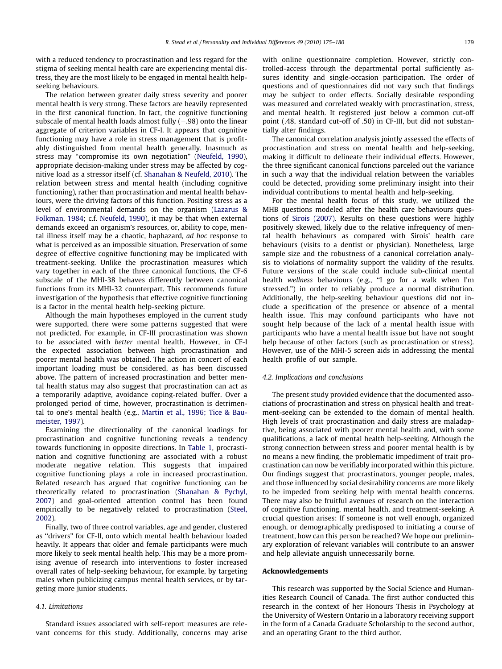with a reduced tendency to procrastination and less regard for the stigma of seeking mental health care are experiencing mental distress, they are the most likely to be engaged in mental health helpseeking behaviours.

The relation between greater daily stress severity and poorer mental health is very strong. These factors are heavily represented in the first canonical function. In fact, the cognitive functioning subscale of mental health loads almost fully (–.98) onto the linear aggregate of criterion variables in CF-I. It appears that cognitive functioning may have a role in stress management that is profitably distinguished from mental health generally. Inasmuch as stress may ''compromise its own negotiation" ([Neufeld, 1990\)](#page-5-0), appropriate decision-making under stress may be affected by cognitive load as a stressor itself (cf. [Shanahan & Neufeld, 2010](#page-5-0)). The relation between stress and mental health (including cognitive functioning), rather than procrastination and mental health behaviours, were the driving factors of this function. Positing stress as a level of environmental demands on the organism [\(Lazarus &](#page-5-0) [Folkman, 1984;](#page-5-0) c.f. [Neufeld, 1990](#page-5-0)), it may be that when external demands exceed an organism's resources, or, ability to cope, mental illness itself may be a chaotic, haphazard, ad hoc response to what is perceived as an impossible situation. Preservation of some degree of effective cognitive functioning may be implicated with treatment-seeking. Unlike the procrastination measures which vary together in each of the three canonical functions, the CF-6 subscale of the MHI-38 behaves differently between canonical functions from its MHI-32 counterpart. This recommends future investigation of the hypothesis that effective cognitive functioning is a factor in the mental health help-seeking picture.

Although the main hypotheses employed in the current study were supported, there were some patterns suggested that were not predicted. For example, in CF-III procrastination was shown to be associated with better mental health. However, in CF-I the expected association between high procrastination and poorer mental health was obtained. The action in concert of each important loading must be considered, as has been discussed above. The pattern of increased procrastination and better mental health status may also suggest that procrastination can act as a temporarily adaptive, avoidance coping-related buffer. Over a prolonged period of time, however, procrastination is detrimental to one's mental health (e.g., [Martin et al., 1996; Tice & Bau](#page-5-0)[meister, 1997\)](#page-5-0).

Examining the directionality of the canonical loadings for procrastination and cognitive functioning reveals a tendency towards functioning in opposite directions. In [Table 1,](#page-2-0) procrastination and cognitive functioning are associated with a robust moderate negative relation. This suggests that impaired cognitive functioning plays a role in increased procrastination. Related research has argued that cognitive functioning can be theoretically related to procrastination [\(Shanahan & Pychyl,](#page-5-0) [2007](#page-5-0)) and goal-oriented attention control has been found empirically to be negatively related to procrastination [\(Steel,](#page-5-0) [2002](#page-5-0)).

Finally, two of three control variables, age and gender, clustered as ''drivers" for CF-II, onto which mental health behaviour loaded heavily. It appears that older and female participants were much more likely to seek mental health help. This may be a more promising avenue of research into interventions to foster increased overall rates of help-seeking behaviour, for example, by targeting males when publicizing campus mental health services, or by targeting more junior students.

# 4.1. Limitations

Standard issues associated with self-report measures are relevant concerns for this study. Additionally, concerns may arise with online questionnaire completion. However, strictly controlled-access through the departmental portal sufficiently assures identity and single-occasion participation. The order of questions and of questionnaires did not vary such that findings may be subject to order effects. Socially desirable responding was measured and correlated weakly with procrastination, stress, and mental health. It registered just below a common cut-off point (.48, standard cut-off of .50) in CF-III, but did not substantially alter findings.

The canonical correlation analysis jointly assessed the effects of procrastination and stress on mental health and help-seeking, making it difficult to delineate their individual effects. However, the three significant canonical functions parceled out the variance in such a way that the individual relation between the variables could be detected, providing some preliminary insight into their individual contributions to mental health and help-seeking.

For the mental health focus of this study, we utilized the MHB questions modeled after the health care behaviours questions of Sirois [\(2007\)](#page-5-0). Results on these questions were highly positively skewed, likely due to the relative infrequency of mental health behaviours as compared with Sirois' health care behaviours (visits to a dentist or physician). Nonetheless, large sample size and the robustness of a canonical correlation analysis to violations of normality support the validity of the results. Future versions of the scale could include sub-clinical mental health wellness behaviours (e.g., ''I go for a walk when I'm stressed.") in order to reliably produce a normal distribution. Additionally, the help-seeking behaviour questions did not include a specification of the presence or absence of a mental health issue. This may confound participants who have not sought help because of the lack of a mental health issue with participants who have a mental health issue but have not sought help because of other factors (such as procrastination or stress). However, use of the MHI-5 screen aids in addressing the mental health profile of our sample.

# 4.2. Implications and conclusions

The present study provided evidence that the documented associations of procrastination and stress on physical health and treatment-seeking can be extended to the domain of mental health. High levels of trait procrastination and daily stress are maladaptive, being associated with poorer mental health and, with some qualifications, a lack of mental health help-seeking. Although the strong connection between stress and poorer mental health is by no means a new finding, the problematic impediment of trait procrastination can now be verifiably incorporated within this picture. Our findings suggest that procrastinators, younger people, males, and those influenced by social desirability concerns are more likely to be impeded from seeking help with mental health concerns. There may also be fruitful avenues of research on the interaction of cognitive functioning, mental health, and treatment-seeking. A crucial question arises: If someone is not well enough, organized enough, or demographically predisposed to initiating a course of treatment, how can this person be reached? We hope our preliminary exploration of relevant variables will contribute to an answer and help alleviate anguish unnecessarily borne.

# Acknowledgements

This research was supported by the Social Science and Humanities Research Council of Canada. The first author conducted this research in the context of her Honours Thesis in Psychology at the University of Western Ontario in a laboratory receiving support in the form of a Canada Graduate Scholarship to the second author, and an operating Grant to the third author.